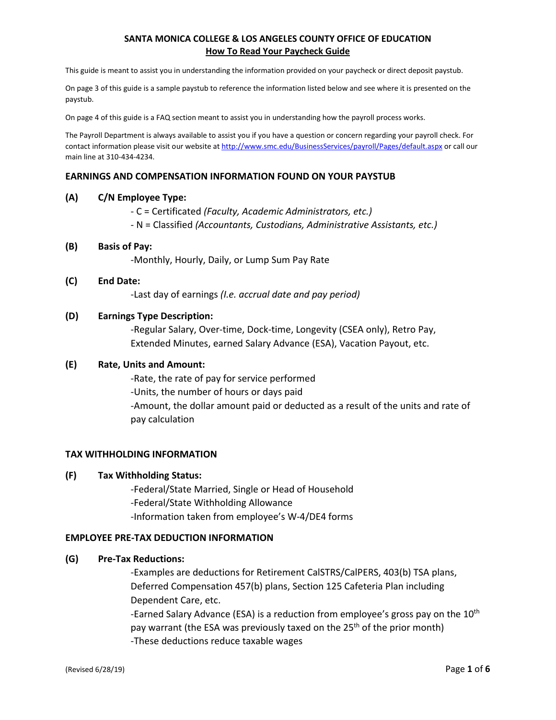This guide is meant to assist you in understanding the information provided on your paycheck or direct deposit paystub.

On page 3 of this guide is a sample paystub to reference the information listed below and see where it is presented on the paystub.

On page 4 of this guide is a FAQ section meant to assist you in understanding how the payroll process works.

The Payroll Department is always available to assist you if you have a question or concern regarding your payroll check. For contact information please visit our website at <http://www.smc.edu/BusinessServices/payroll/Pages/default.aspx> or call our main line at 310-434-4234.

## **EARNINGS AND COMPENSATION INFORMATION FOUND ON YOUR PAYSTUB**

#### **(A) C/N Employee Type:**

- C = Certificated *(Faculty, Academic Administrators, etc.)*
- N = Classified *(Accountants, Custodians, Administrative Assistants, etc.)*

#### **(B) Basis of Pay:**

-Monthly, Hourly, Daily, or Lump Sum Pay Rate

#### **(C) End Date:**

-Last day of earnings *(I.e. accrual date and pay period)*

### **(D) Earnings Type Description:**

-Regular Salary, Over-time, Dock-time, Longevity (CSEA only), Retro Pay, Extended Minutes, earned Salary Advance (ESA), Vacation Payout, etc.

#### **(E) Rate, Units and Amount:**

-Rate, the rate of pay for service performed -Units, the number of hours or days paid -Amount, the dollar amount paid or deducted as a result of the units and rate of pay calculation

## **TAX WITHHOLDING INFORMATION**

### **(F) Tax Withholding Status:**

-Federal/State Married, Single or Head of Household -Federal/State Withholding Allowance -Information taken from employee's W-4/DE4 forms

#### **EMPLOYEE PRE-TAX DEDUCTION INFORMATION**

#### **(G) Pre-Tax Reductions:**

-Examples are deductions for Retirement CalSTRS/CalPERS, 403(b) TSA plans, Deferred Compensation 457(b) plans, Section 125 Cafeteria Plan including Dependent Care, etc. -Earned Salary Advance (ESA) is a reduction from employee's gross pay on the  $10<sup>th</sup>$ 

pay warrant (the ESA was previously taxed on the 25<sup>th</sup> of the prior month)

-These deductions reduce taxable wages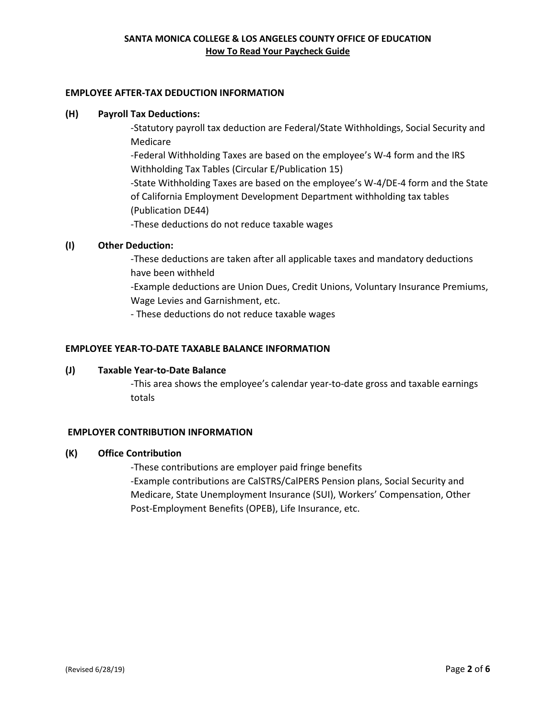## **EMPLOYEE AFTER-TAX DEDUCTION INFORMATION**

## **(H) Payroll Tax Deductions:**

-Statutory payroll tax deduction are Federal/State Withholdings, Social Security and Medicare -Federal Withholding Taxes are based on the employee's W-4 form and the IRS Withholding Tax Tables (Circular E/Publication 15) -State Withholding Taxes are based on the employee's W-4/DE-4 form and the State of California Employment Development Department withholding tax tables (Publication DE44) -These deductions do not reduce taxable wages

# **(I) Other Deduction:**

-These deductions are taken after all applicable taxes and mandatory deductions have been withheld

-Example deductions are Union Dues, Credit Unions, Voluntary Insurance Premiums, Wage Levies and Garnishment, etc.

- These deductions do not reduce taxable wages

# **EMPLOYEE YEAR-TO-DATE TAXABLE BALANCE INFORMATION**

## **(J) Taxable Year-to-Date Balance**

-This area shows the employee's calendar year-to-date gross and taxable earnings totals

## **EMPLOYER CONTRIBUTION INFORMATION**

## **(K) Office Contribution**

-These contributions are employer paid fringe benefits -Example contributions are CalSTRS/CalPERS Pension plans, Social Security and Medicare, State Unemployment Insurance (SUI), Workers' Compensation, Other Post-Employment Benefits (OPEB), Life Insurance, etc.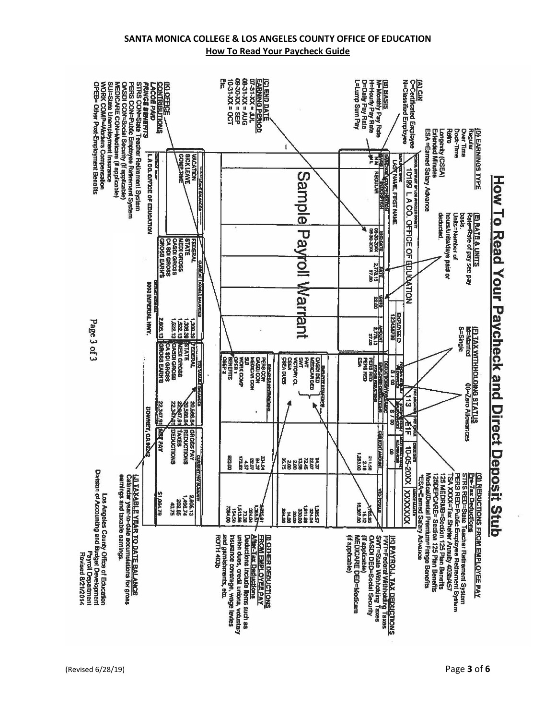

(Revised 6/28/19) Page **3** of **6**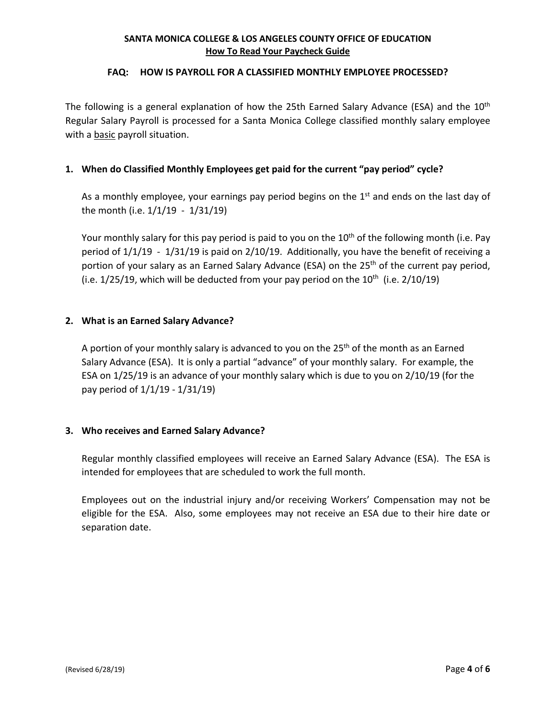## **FAQ: HOW IS PAYROLL FOR A CLASSIFIED MONTHLY EMPLOYEE PROCESSED?**

The following is a general explanation of how the 25th Earned Salary Advance (ESA) and the 10<sup>th</sup> Regular Salary Payroll is processed for a Santa Monica College classified monthly salary employee with a basic payroll situation.

# **1. When do Classified Monthly Employees get paid for the current "pay period" cycle?**

As a monthly employee, your earnings pay period begins on the  $1<sup>st</sup>$  and ends on the last day of the month (i.e. 1/1/19 - 1/31/19)

Your monthly salary for this pay period is paid to you on the  $10<sup>th</sup>$  of the following month (i.e. Pay period of 1/1/19 - 1/31/19 is paid on 2/10/19. Additionally, you have the benefit of receiving a portion of your salary as an Earned Salary Advance (ESA) on the 25<sup>th</sup> of the current pay period, (i.e.  $1/25/19$ , which will be deducted from your pay period on the  $10<sup>th</sup>$  (i.e.  $2/10/19$ )

# **2. What is an Earned Salary Advance?**

A portion of your monthly salary is advanced to you on the  $25<sup>th</sup>$  of the month as an Earned Salary Advance (ESA). It is only a partial "advance" of your monthly salary. For example, the ESA on 1/25/19 is an advance of your monthly salary which is due to you on 2/10/19 (for the pay period of 1/1/19 - 1/31/19)

# **3. Who receives and Earned Salary Advance?**

Regular monthly classified employees will receive an Earned Salary Advance (ESA). The ESA is intended for employees that are scheduled to work the full month.

Employees out on the industrial injury and/or receiving Workers' Compensation may not be eligible for the ESA. Also, some employees may not receive an ESA due to their hire date or separation date.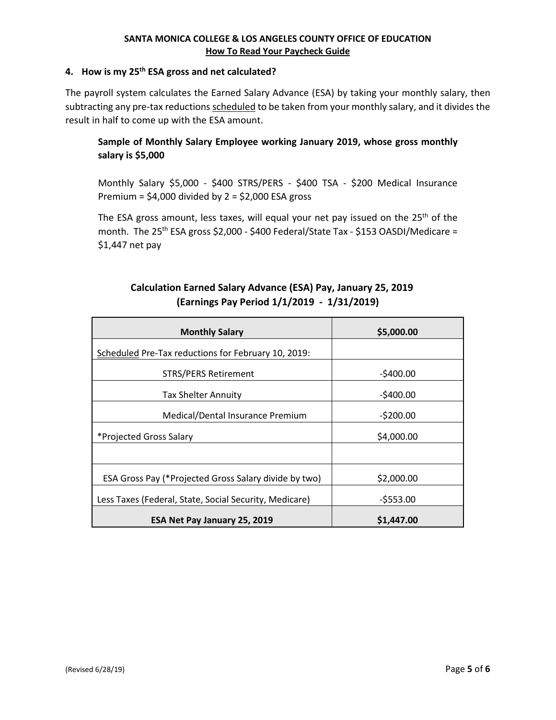# **4. How is my 25th ESA gross and net calculated?**

The payroll system calculates the Earned Salary Advance (ESA) by taking your monthly salary, then subtracting any pre-tax reductions scheduled to be taken from your monthly salary, and it divides the result in half to come up with the ESA amount.

# **Sample of Monthly Salary Employee working January 2019, whose gross monthly salary is \$5,000**

Monthly Salary \$5,000 - \$400 STRS/PERS - \$400 TSA - \$200 Medical Insurance Premium =  $$4,000$  divided by 2 =  $$2,000$  ESA gross

The ESA gross amount, less taxes, will equal your net pay issued on the 25<sup>th</sup> of the month. The 25<sup>th</sup> ESA gross \$2,000 - \$400 Federal/State Tax - \$153 OASDI/Medicare = \$1,447 net pay

# **Calculation Earned Salary Advance (ESA) Pay, January 25, 2019 (Earnings Pay Period 1/1/2019 - 1/31/2019)**

| <b>Monthly Salary</b>                                  | \$5,000.00 |
|--------------------------------------------------------|------------|
| Scheduled Pre-Tax reductions for February 10, 2019:    |            |
| <b>STRS/PERS Retirement</b>                            | $-5400.00$ |
| <b>Tax Shelter Annuity</b>                             | $-$400.00$ |
| Medical/Dental Insurance Premium                       | $-5200.00$ |
| *Projected Gross Salary                                | \$4,000.00 |
|                                                        |            |
| ESA Gross Pay (*Projected Gross Salary divide by two)  | \$2,000.00 |
| Less Taxes (Federal, State, Social Security, Medicare) | $-5553.00$ |
| ESA Net Pay January 25, 2019                           | \$1,447.00 |